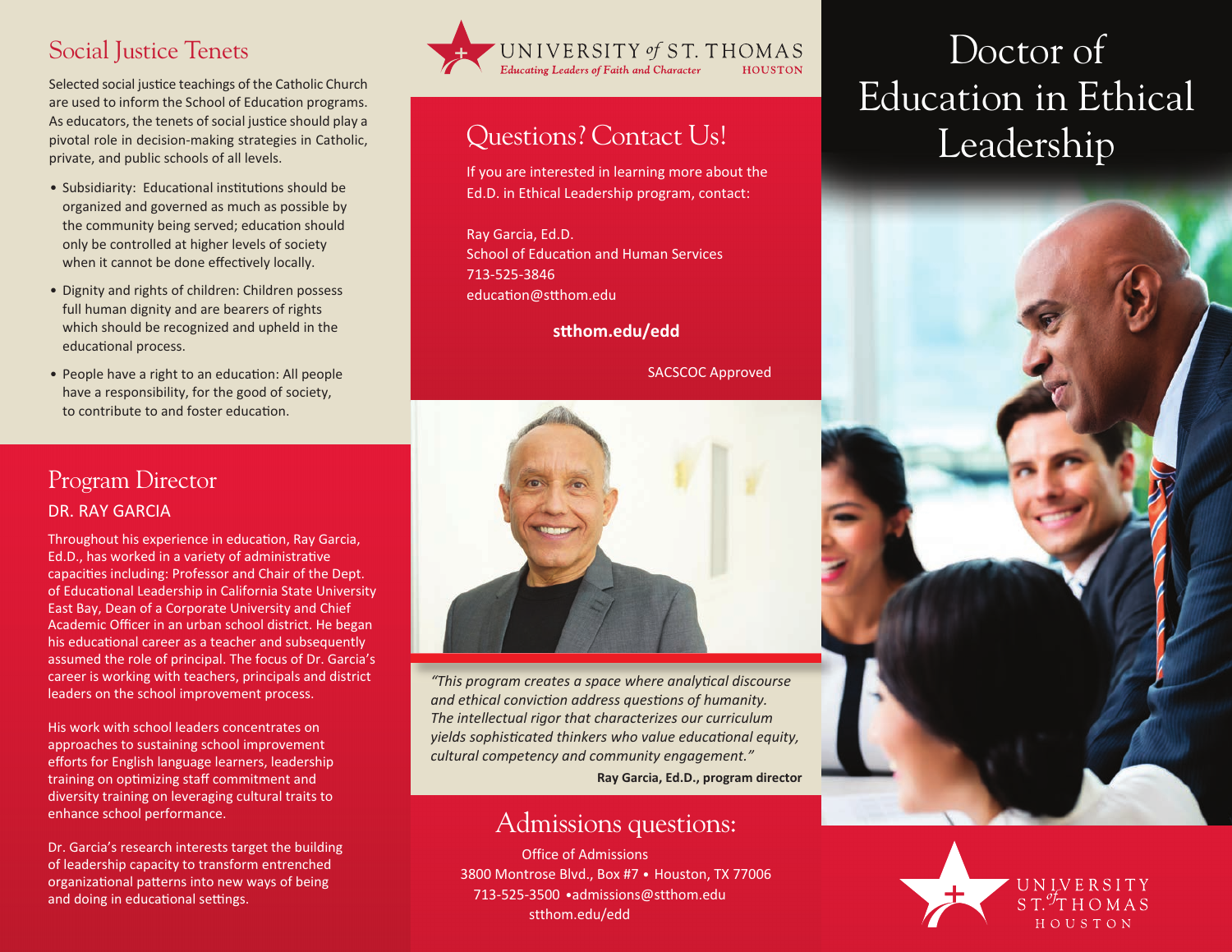## Social Justice Tenets

Selected social justice teachings of the Catholic Church are used to inform the School of Education programs. As educators, the tenets of social justice should play a pivotal role in decision-making strategies in Catholic, private, and public schools of all levels.

- Subsidiarity: Educational institutions should be organized and governed as much as possible by the community being served; education should only be controlled at higher levels of society when it cannot be done effectively locally.
- Dignity and rights of children: Children possess full human dignity and are bearers of rights which should be recognized and upheld in the educational process.
- People have a right to an education: All people have a responsibility, for the good of society, to contribute to and foster education.

## Program Director Dr. rAy GArCiA

Throughout his experience in education, Ray Garcia, Ed.D., has worked in a variety of administrative capacities including: Professor and Chair of the Dept. of Educational Leadership in California State University East Bay, Dean of a Corporate University and Chief Academic Officer in an urban school district. He began his educational career as a teacher and subsequently assumed the role of principal. The focus of Dr. Garcia's career is working with teachers, principals and district leaders on the school improvement process.

His work with school leaders concentrates on approaches to sustaining school improvement efforts for English language learners, leadership training on optimizing staff commitment and diversity training on leveraging cultural traits to enhance school performance.

Dr. Garcia's research interests target the building of leadership capacity to transform entrenched organizational patterns into new ways of being and doing in educational settings.



# Questions? Contact Us!

if you are interested in learning more about the Ed.D. in Ethical Leadership program, contact:

Ray Garcia, Ed.D. School of Education and Human Services 713-525-3846 education@stthom.edu

**stthom.edu/edd**

SACSCOC Approved



*"This program creates a space where analytical discourse and ethical conviction address questions of humanity. The intellectual rigor that characterizes our curriculum yields sophisticated thinkers who value educational equity, cultural competency and community engagement."*

**Ray Garcia, Ed.D., program director**

## Admissions questions:

Office of Admissions 3800 Montrose Blvd., Box #7 • Houston, TX 77006 713-525-3500 •admissions@stthom.edu stthom.edu/edd

# Doctor of Education in Ethical Leadership